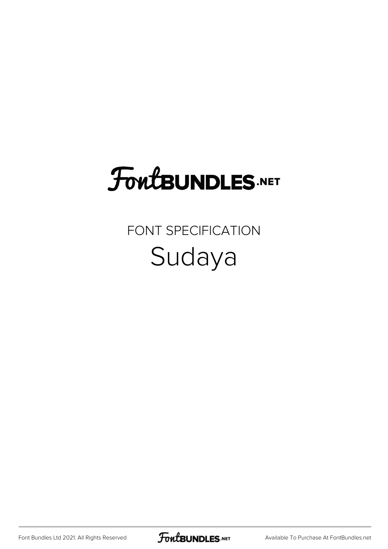## FoutBUNDLES.NET

## FONT SPECIFICATION Sudaya

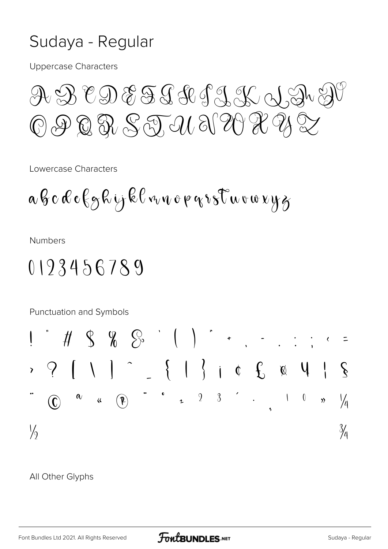## Sudaya - Regular

**Uppercase Characters** 

A B CD E F J J J J H G  $\textcircled{1} \textcircled{2} \textcircled{3} \textcircled{3} \textcircled{3} \textcircled{4} \textcircled{3} \textcircled{7} \textcircled{7} \textcircled{7} \textcircled{7} \textcircled{7} \textcircled{7} \textcircled{7}$ 

Lowercase Characters

$$
a\,b\,c\,\&\,c\,\xi\,g\,\&\,ij\,\&\,\ell\,v\,\varepsilon\,v\,\circ\,\rho\,\varepsilon\,v\,s\,\varepsilon\,\varepsilon\,\omega\,\varepsilon\,\varepsilon\,y\,g
$$

**Numbers** 

## 0193456789



All Other Glyphs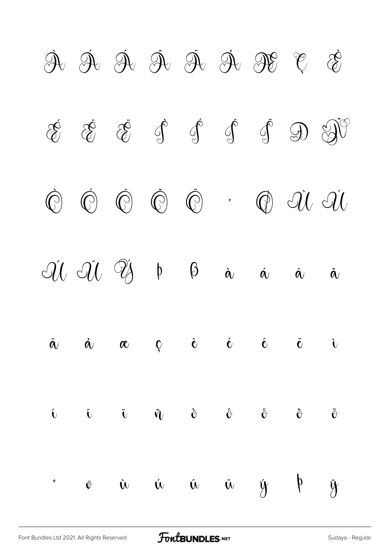